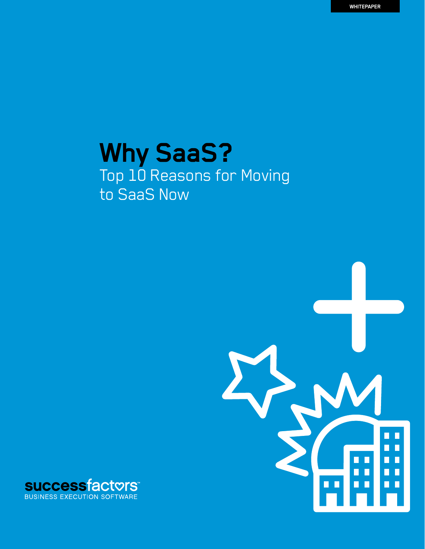## **Why SaaS?** Top 10 Reasons for Moving to SaaS Now



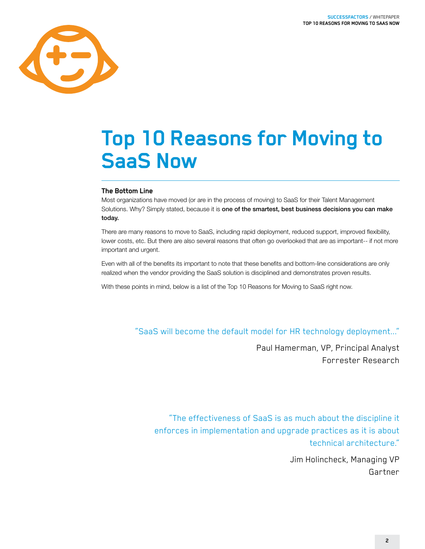

# **Top 10 Reasons for Moving to SaaS Now**

### **The Bottom Line**

Most organizations have moved (or are in the process of moving) to SaaS for their Talent Management Solutions. Why? Simply stated, because it is one of the smartest, best business decisions you can make today.

There are many reasons to move to SaaS, including rapid deployment, reduced support, improved flexibility, lower costs, etc. But there are also several reasons that often go overlooked that are as important-- if not more important and urgent.

Even with all of the benefits its important to note that these benefits and bottom-line considerations are only realized when the vendor providing the SaaS solution is disciplined and demonstrates proven results.

With these points in mind, below is a list of the Top 10 Reasons for Moving to SaaS right now.

### "SaaS will become the default model for HR technology deployment..."

Paul Hamerman, VP, Principal Analyst Forrester Research

"The effectiveness of SaaS is as much about the discipline it enforces in implementation and upgrade practices as it is about technical architecture."

> Jim Holincheck, Managing VP Gartner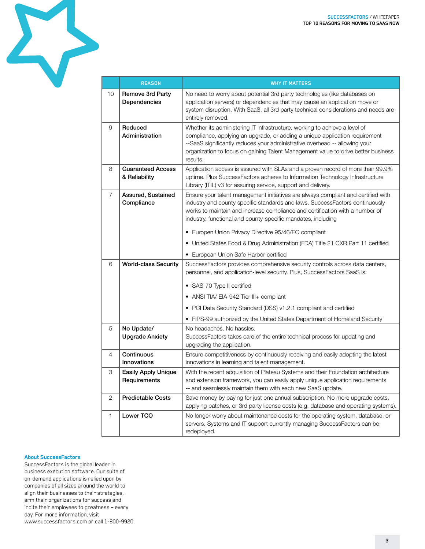

|                | <b>REASON</b>                              | <b>WHY IT MATTERS</b>                                                                                                                                                                                                                                                                                                                                                                                                                                                                                  |
|----------------|--------------------------------------------|--------------------------------------------------------------------------------------------------------------------------------------------------------------------------------------------------------------------------------------------------------------------------------------------------------------------------------------------------------------------------------------------------------------------------------------------------------------------------------------------------------|
| 10             | Remove 3rd Party<br>Dependencies           | No need to worry about potential 3rd party technologies (like databases on<br>application servers) or dependencies that may cause an application move or<br>system disruption. With SaaS, all 3rd party technical considerations and needs are<br>entirely removed.                                                                                                                                                                                                                                    |
| 9              | Reduced<br>Administration                  | Whether its administering IT infrastructure, working to achieve a level of<br>compliance, applying an upgrade, or adding a unique application requirement<br>--SaaS significantly reduces your administrative overhead -- allowing your<br>organization to focus on gaining Talent Management value to drive better business<br>results.                                                                                                                                                               |
| 8              | <b>Guaranteed Access</b><br>& Reliability  | Application access is assured with SLAs and a proven record of more than 99.9%<br>uptime. Plus SuccessFactors adheres to Information Technology Infrastructure<br>Library (ITIL) v3 for assuring service, support and delivery.                                                                                                                                                                                                                                                                        |
| $\overline{7}$ | Assured, Sustained<br>Compliance           | Ensure your talent management initiatives are always compliant and certified with<br>industry and county specific standards and laws. SuccessFactors continuously<br>works to maintain and increase compliance and certification with a number of<br>industry, functional and county-specific mandates, including<br>• Europen Union Privacy Directive 95/46/EC compliant<br>• United States Food & Drug Administration (FDA) Title 21 CXR Part 11 certified<br>• European Union Safe Harbor certified |
| 6              | <b>World-class Security</b>                | SuccessFactors provides comprehensive security controls across data centers,<br>personnel, and application-level security. Plus, SuccessFactors SaaS is:<br>• SAS-70 Type II certified<br>• ANSI TIA/ EIA-942 Tier III+ compliant<br>• PCI Data Security Standard (DSS) v1.2.1 compliant and certified<br>• FIPS-99 authorized by the United States Department of Homeland Security                                                                                                                    |
| 5              | No Update/<br><b>Upgrade Anxiety</b>       | No headaches. No hassles.<br>SuccessFactors takes care of the entire technical process for updating and<br>upgrading the application.                                                                                                                                                                                                                                                                                                                                                                  |
| 4              | Continuous<br>Innovations                  | Ensure competitiveness by continuously receiving and easily adopting the latest<br>innovations in learning and talent management.                                                                                                                                                                                                                                                                                                                                                                      |
| 3              | <b>Easily Apply Unique</b><br>Requirements | With the recent acquisition of Plateau Systems and their Foundation architecture<br>and extension framework, you can easily apply unique application requirements<br>-- and seamlessly maintain them with each new SaaS update.                                                                                                                                                                                                                                                                        |
| 2              | <b>Predictable Costs</b>                   | Save money by paying for just one annual subscription. No more upgrade costs,<br>applying patches, or 3rd party license costs (e.g. database and operating systems).                                                                                                                                                                                                                                                                                                                                   |
| 1              | Lower TCO                                  | No longer worry about maintenance costs for the operating system, database, or<br>servers. Systems and IT support currently managing SuccessFactors can be<br>redeployed.                                                                                                                                                                                                                                                                                                                              |

#### **About SuccessFactors**

SuccessFactors is the global leader in business execution software. Our suite of on-demand applications is relied upon by companies of all sizes around the world to align their businesses to their strategies, arm their organizations for success and incite their employees to greatness – every day. For more information, visit www.successfactors.com or call 1-800-9920.